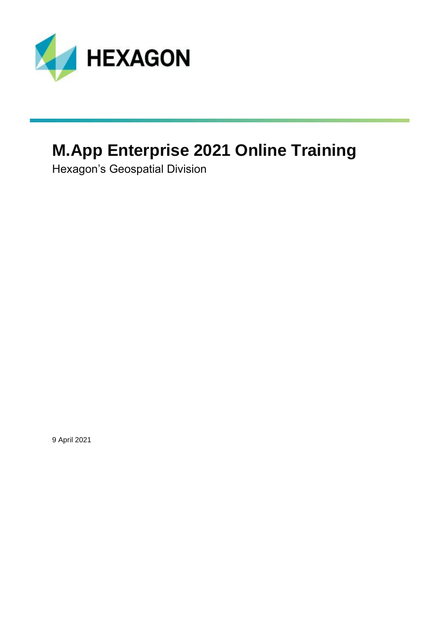

# **M.App Enterprise 2021 Online Training**

Hexagon's Geospatial Division

9 April 2021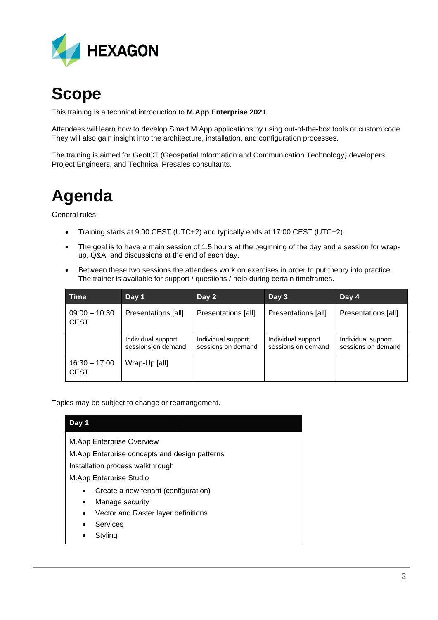

### **Scope**

This training is a technical introduction to **M.App Enterprise 2021**.

Attendees will learn how to develop Smart M.App applications by using out-of-the-box tools or custom code. They will also gain insight into the architecture, installation, and configuration processes.

The training is aimed for GeoICT (Geospatial Information and Communication Technology) developers, Project Engineers, and Technical Presales consultants.

## **Agenda**

General rules:

- Training starts at 9:00 CEST (UTC+2) and typically ends at 17:00 CEST (UTC+2).
- The goal is to have a main session of 1.5 hours at the beginning of the day and a session for wrapup, Q&A, and discussions at the end of each day.
- Between these two sessions the attendees work on exercises in order to put theory into practice. The trainer is available for support / questions / help during certain timeframes.

| Time                           | Day 1                                    | Day 2                                    | Day 3                                    | Day 4                                    |
|--------------------------------|------------------------------------------|------------------------------------------|------------------------------------------|------------------------------------------|
| $09:00 - 10:30$<br><b>CEST</b> | Presentations [all]                      | Presentations [all]                      | Presentations [all]                      | Presentations [all]                      |
|                                | Individual support<br>sessions on demand | Individual support<br>sessions on demand | Individual support<br>sessions on demand | Individual support<br>sessions on demand |
| $16:30 - 17:00$<br><b>CEST</b> | Wrap-Up [all]                            |                                          |                                          |                                          |

Topics may be subject to change or rearrangement.

### **Day 1** M.App Enterprise Overview M.App Enterprise concepts and design patterns Installation process walkthrough M.App Enterprise Studio • Create a new tenant (configuration) • Manage security • Vector and Raster layer definitions **Services Styling**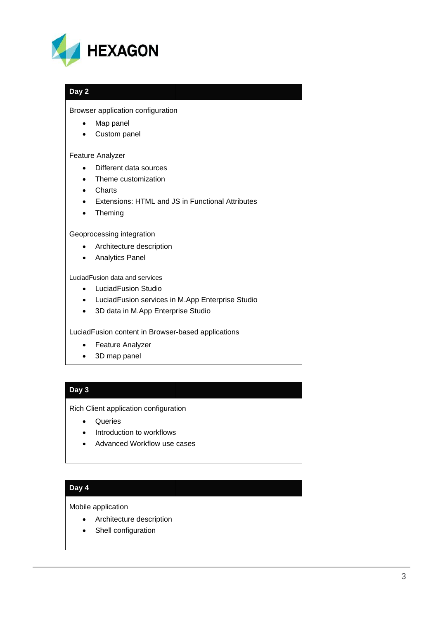

#### **Day 2**

#### Browser application configuration

- Map panel
- Custom panel

#### Feature Analyzer

- Different data sources
- Theme customization
- Charts
- Extensions: HTML and JS in Functional Attributes
- Theming

#### Geoprocessing integration

- Architecture description
- Analytics Panel

LuciadFusion data and services

- LuciadFusion Studio
- LuciadFusion services in M.App Enterprise Studio
- 3D data in M.App Enterprise Studio

LuciadFusion content in Browser-based applications

- Feature Analyzer
- 3D map panel

#### **Day 3**

Rich Client application configuration

- Queries
- Introduction to workflows
- Advanced Workflow use cases

#### **Day 4**

Mobile application

- Architecture description
- Shell configuration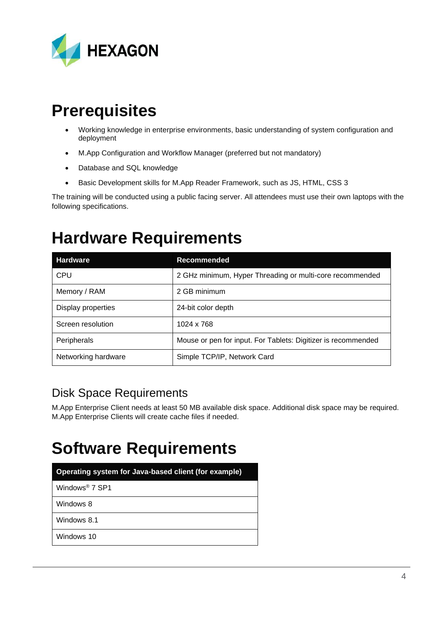

### **Prerequisites**

- Working knowledge in enterprise environments, basic understanding of system configuration and deployment
- M.App Configuration and Workflow Manager (preferred but not mandatory)
- Database and SQL knowledge
- Basic Development skills for M.App Reader Framework, such as JS, HTML, CSS 3

The training will be conducted using a public facing server. All attendees must use their own laptops with the following specifications.

### **Hardware Requirements**

| <b>Hardware</b>     | <b>Recommended</b>                                            |  |
|---------------------|---------------------------------------------------------------|--|
| <b>CPU</b>          | 2 GHz minimum, Hyper Threading or multi-core recommended      |  |
| Memory / RAM        | 2 GB minimum                                                  |  |
| Display properties  | 24-bit color depth                                            |  |
| Screen resolution   | 1024 x 768                                                    |  |
| Peripherals         | Mouse or pen for input. For Tablets: Digitizer is recommended |  |
| Networking hardware | Simple TCP/IP, Network Card                                   |  |

### Disk Space Requirements

M.App Enterprise Client needs at least 50 MB available disk space. Additional disk space may be required. M.App Enterprise Clients will create cache files if needed.

### **Software Requirements**

| Operating system for Java-based client (for example) |  |  |
|------------------------------------------------------|--|--|
| Windows <sup>®</sup> 7 SP1                           |  |  |
| Windows 8                                            |  |  |
| Windows 8.1                                          |  |  |
| Windows 10                                           |  |  |